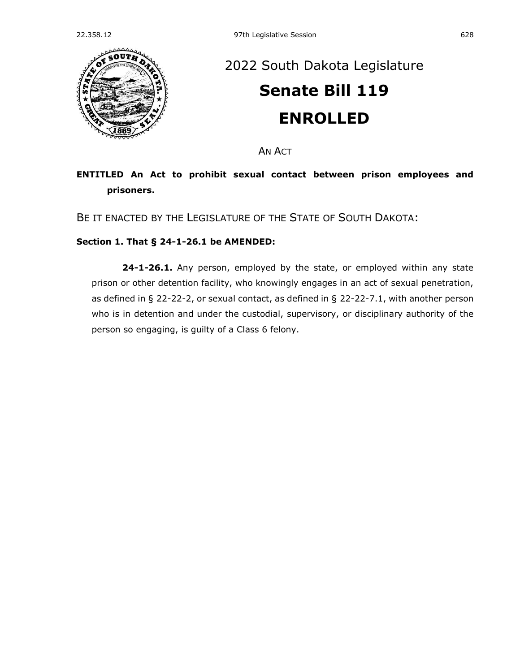

## [2022 South Dakota Legislature](https://sdlegislature.gov/Session/Bills/64) **[Senate Bill 119](https://sdlegislature.gov/Session/Bill/22929) ENROLLED**

AN ACT

## **ENTITLED An Act to prohibit sexual contact between prison employees and prisoners.**

BE IT ENACTED BY THE LEGISLATURE OF THE STATE OF SOUTH DAKOTA:

## **Section 1. [That § 24-1-26.1 be AMENDED:](https://sdlegislature.gov/Statutes?Statute=24-1-26.1)**

**[24-1-26.1.](https://sdlegislature.gov/Statutes/Codified_Laws/DisplayStatute.aspx?Type=Statute&Statute=24-1-26.1)** Any person, employed by the state, or employed within any state prison or other detention facility, who knowingly engages in an act of sexual penetration, as defined in § [22-22-2,](https://sdlegislature.gov/Statutes?Statute=22-22-2) or sexual contact, as defined in § [22-22-7.1,](https://sdlegislature.gov/Statutes?Statute=22-22-7.1) with another person who is in detention and under the custodial, supervisory, or disciplinary authority of the person so engaging, is guilty of a Class 6 felony.